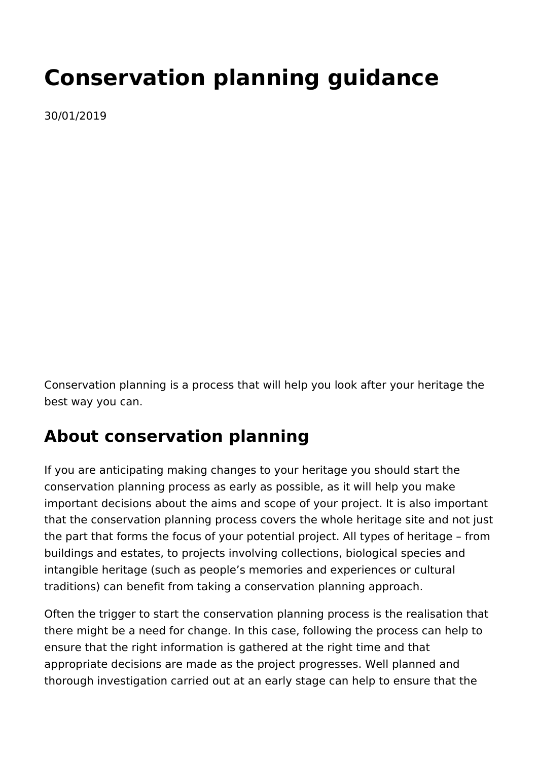# **Conservation planning guidance**

30/01/2019

Conservation planning is a process that will help you look after your heritage the best way you can.

## **About conservation planning**

If you are anticipating making changes to your heritage you should start the conservation planning process as early as possible, as it will help you make important decisions about the aims and scope of your project. It is also important that the conservation planning process covers the whole heritage site and not just the part that forms the focus of your potential project. All types of heritage – from buildings and estates, to projects involving collections, biological species and intangible heritage (such as people's memories and experiences or cultural traditions) can benefit from taking a conservation planning approach.

Often the trigger to start the conservation planning process is the realisation that there might be a need for change. In this case, following the process can help to ensure that the right information is gathered at the right time and that appropriate decisions are made as the project progresses. Well planned and thorough investigation carried out at an early stage can help to ensure that the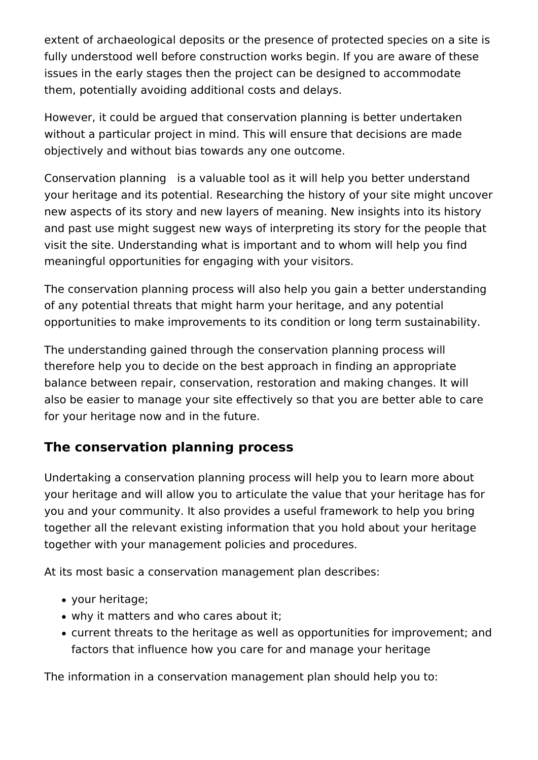extent of archaeological deposits or the presence of protected species on a site is fully understood well before construction works begin. If you are aware of these issues in the early stages then the project can be designed to accommodate them, potentially avoiding additional costs and delays.

However, it could be argued that conservation planning is better undertaken without a particular project in mind. This will ensure that decisions are made objectively and without bias towards any one outcome.

Conservation planning is a valuable tool as it will help you better understand your heritage and its potential. Researching the history of your site might uncover new aspects of its story and new layers of meaning. New insights into its history and past use might suggest new ways of interpreting its story for the people that visit the site. Understanding what is important and to whom will help you find meaningful opportunities for engaging with your visitors.

The conservation planning process will also help you gain a better understanding of any potential threats that might harm your heritage, and any potential opportunities to make improvements to its condition or long term sustainability.

The understanding gained through the conservation planning process will therefore help you to decide on the best approach in finding an appropriate balance between repair, conservation, restoration and making changes. It will also be easier to manage your site effectively so that you are better able to care for your heritage now and in the future.

## **The conservation planning process**

Undertaking a conservation planning process will help you to learn more about your heritage and will allow you to articulate the value that your heritage has for you and your community. It also provides a useful framework to help you bring together all the relevant existing information that you hold about your heritage together with your management policies and procedures.

At its most basic a conservation management plan describes:

- your heritage;
- why it matters and who cares about it;
- current threats to the heritage as well as opportunities for improvement; and factors that influence how you care for and manage your heritage

The information in a conservation management plan should help you to: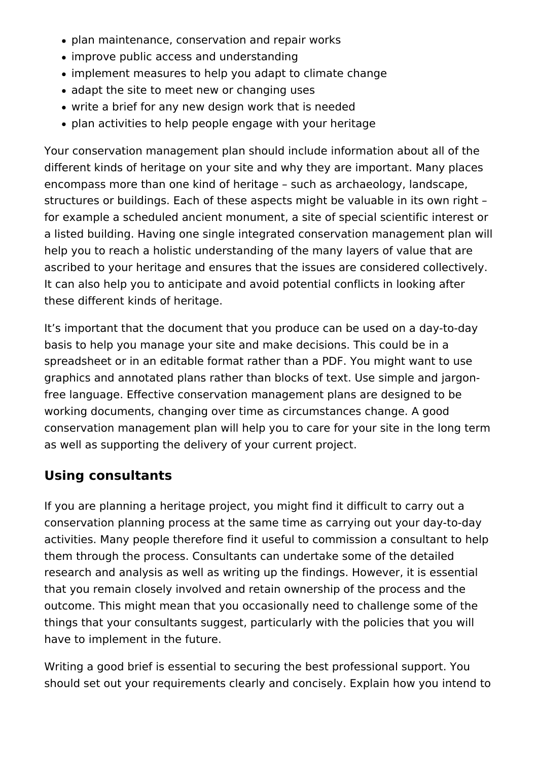- plan maintenance, conservation and repair works
- improve public access and understanding
- implement measures to help you adapt to climate change
- adapt the site to meet new or changing uses
- write a brief for any new design work that is needed
- plan activities to help people engage with your heritage

Your conservation management plan should include information about all of the different kinds of heritage on your site and why they are important. Many places encompass more than one kind of heritage – such as archaeology, landscape, structures or buildings. Each of these aspects might be valuable in its own right – for example a scheduled ancient monument, a site of special scientific interest or a listed building. Having one single integrated conservation management plan will help you to reach a holistic understanding of the many layers of value that are ascribed to your heritage and ensures that the issues are considered collectively. It can also help you to anticipate and avoid potential conflicts in looking after these different kinds of heritage.

It's important that the document that you produce can be used on a day-to-day basis to help you manage your site and make decisions. This could be in a spreadsheet or in an editable format rather than a PDF. You might want to use graphics and annotated plans rather than blocks of text. Use simple and jargonfree language. Effective conservation management plans are designed to be working documents, changing over time as circumstances change. A good conservation management plan will help you to care for your site in the long term as well as supporting the delivery of your current project.

## **Using consultants**

If you are planning a heritage project, you might find it difficult to carry out a conservation planning process at the same time as carrying out your day-to-day activities. Many people therefore find it useful to commission a consultant to help them through the process. Consultants can undertake some of the detailed research and analysis as well as writing up the findings. However, it is essential that you remain closely involved and retain ownership of the process and the outcome. This might mean that you occasionally need to challenge some of the things that your consultants suggest, particularly with the policies that you will have to implement in the future.

Writing a good brief is essential to securing the best professional support. You should set out your requirements clearly and concisely. Explain how you intend to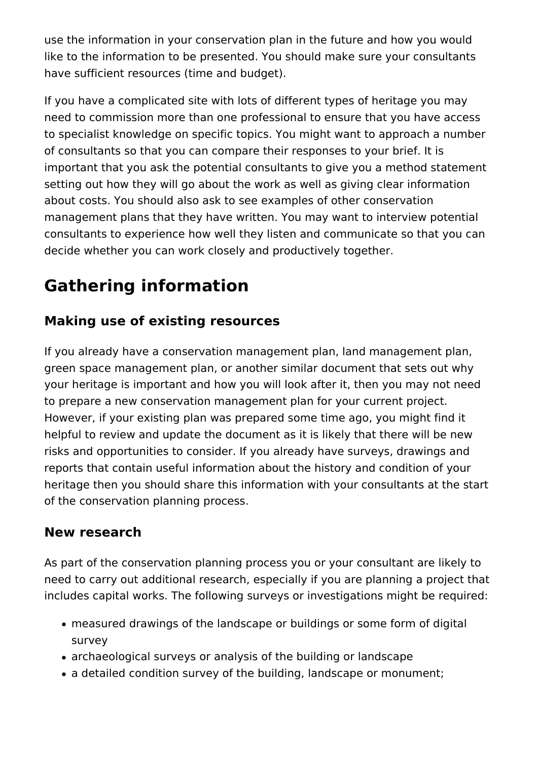use the information in your conservation plan in the future and how you would like to the information to be presented. You should make sure your consultants have sufficient resources (time and budget).

If you have a complicated site with lots of different types of heritage you may need to commission more than one professional to ensure that you have access to specialist knowledge on specific topics. You might want to approach a number of consultants so that you can compare their responses to your brief. It is important that you ask the potential consultants to give you a method statement setting out how they will go about the work as well as giving clear information about costs. You should also ask to see examples of other conservation management plans that they have written. You may want to interview potential consultants to experience how well they listen and communicate so that you can decide whether you can work closely and productively together.

# **Gathering information**

## **Making use of existing resources**

If you already have a conservation management plan, land management plan, green space management plan, or another similar document that sets out why your heritage is important and how you will look after it, then you may not need to prepare a new conservation management plan for your current project. However, if your existing plan was prepared some time ago, you might find it helpful to review and update the document as it is likely that there will be new risks and opportunities to consider. If you already have surveys, drawings and reports that contain useful information about the history and condition of your heritage then you should share this information with your consultants at the start of the conservation planning process.

## **New research**

As part of the conservation planning process you or your consultant are likely to need to carry out additional research, especially if you are planning a project that includes capital works. The following surveys or investigations might be required:

- measured drawings of the landscape or buildings or some form of digital survey
- archaeological surveys or analysis of the building or landscape
- a detailed condition survey of the building, landscape or monument;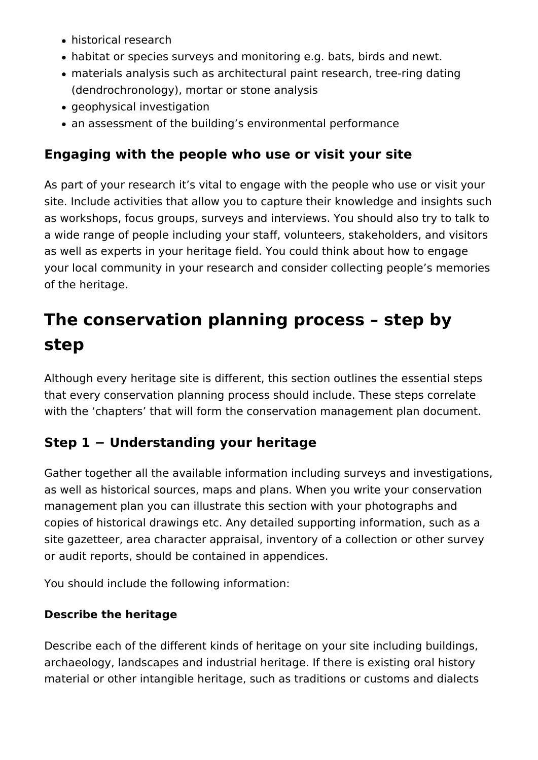- historical research
- habitat or species surveys and monitoring e.g. bats, birds and newt.
- materials analysis such as architectural paint research, tree-ring dating (dendrochronology), mortar or stone analysis
- geophysical investigation
- an assessment of the building's environmental performance

## **Engaging with the people who use or visit your site**

As part of your research it's vital to engage with the people who use or visit your site. Include activities that allow you to capture their knowledge and insights such as workshops, focus groups, surveys and interviews. You should also try to talk to a wide range of people including your staff, volunteers, stakeholders, and visitors as well as experts in your heritage field. You could think about how to engage your local community in your research and consider collecting people's memories of the heritage.

# **The conservation planning process – step by step**

Although every heritage site is different, this section outlines the essential steps that every conservation planning process should include. These steps correlate with the 'chapters' that will form the conservation management plan document.

## **Step 1 − Understanding your heritage**

Gather together all the available information including surveys and investigations, as well as historical sources, maps and plans. When you write your conservation management plan you can illustrate this section with your photographs and copies of historical drawings etc. Any detailed supporting information, such as a site gazetteer, area character appraisal, inventory of a collection or other survey or audit reports, should be contained in appendices.

You should include the following information:

### **Describe the heritage**

Describe each of the different kinds of heritage on your site including buildings, archaeology, landscapes and industrial heritage. If there is existing oral history material or other intangible heritage, such as traditions or customs and dialects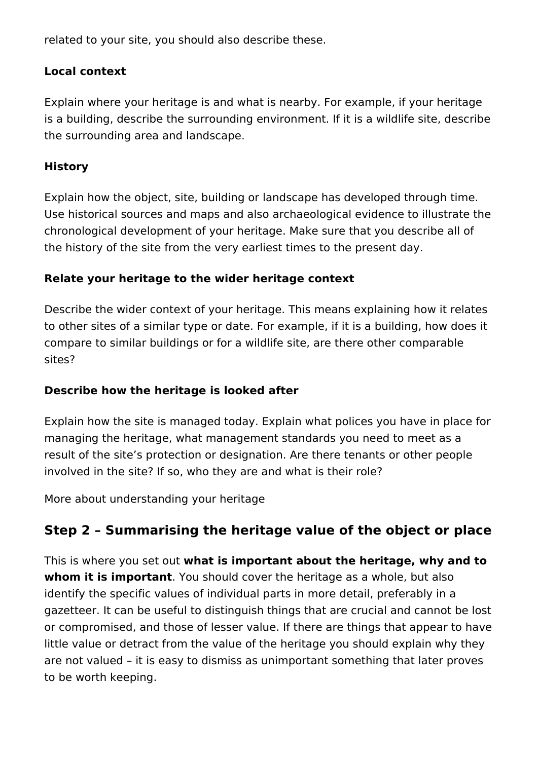related to your site, you should also describe these.

#### **Local context**

Explain where your heritage is and what is nearby. For example, if your heritage is a building, describe the surrounding environment. If it is a wildlife site, describe the surrounding area and landscape.

#### **History**

Explain how the object, site, building or landscape has developed through time. Use historical sources and maps and also archaeological evidence to illustrate the chronological development of your heritage. Make sure that you describe all of the history of the site from the very earliest times to the present day.

#### **Relate your heritage to the wider heritage context**

Describe the wider context of your heritage. This means explaining how it relates to other sites of a similar type or date. For example, if it is a building, how does it compare to similar buildings or for a wildlife site, are there other comparable sites?

#### **Describe how the heritage is looked after**

Explain how the site is managed today. Explain what polices you have in place for managing the heritage, what management standards you need to meet as a result of the site's protection or designation. Are there tenants or other people involved in the site? If so, who they are and what is their role?

More about understanding your heritage

## **Step 2 – Summarising the heritage value of the object or place**

This is where you set out **what is important about the heritage, why and to whom it is important**. You should cover the heritage as a whole, but also identify the specific values of individual parts in more detail, preferably in a gazetteer. It can be useful to distinguish things that are crucial and cannot be lost or compromised, and those of lesser value. If there are things that appear to have little value or detract from the value of the heritage you should explain why they are not valued – it is easy to dismiss as unimportant something that later proves to be worth keeping.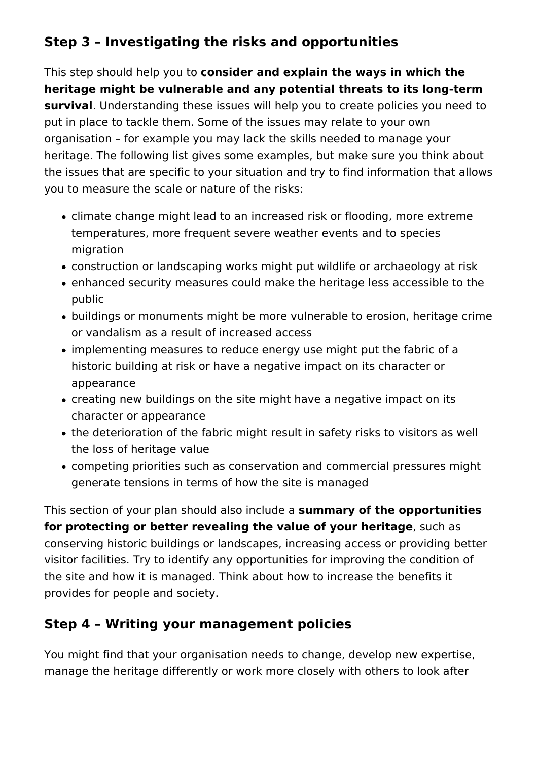## **Step 3 – Investigating the risks and opportunities**

This step should help you to **consider and explain the ways in which the heritage might be vulnerable and any potential threats to its long-term survival**. Understanding these issues will help you to create policies you need to put in place to tackle them. Some of the issues may relate to your own organisation – for example you may lack the skills needed to manage your heritage. The following list gives some examples, but make sure you think about the issues that are specific to your situation and try to find information that allows you to measure the scale or nature of the risks:

- climate change might lead to an increased risk or flooding, more extreme temperatures, more frequent severe weather events and to species migration
- construction or landscaping works might put wildlife or archaeology at risk
- enhanced security measures could make the heritage less accessible to the public
- buildings or monuments might be more vulnerable to erosion, heritage crime or vandalism as a result of increased access
- implementing measures to reduce energy use might put the fabric of a historic building at risk or have a negative impact on its character or appearance
- creating new buildings on the site might have a negative impact on its character or appearance
- the deterioration of the fabric might result in safety risks to visitors as well the loss of heritage value
- competing priorities such as conservation and commercial pressures might generate tensions in terms of how the site is managed

This section of your plan should also include a **summary of the opportunities for protecting or better revealing the value of your heritage**, such as conserving historic buildings or landscapes, increasing access or providing better visitor facilities. Try to identify any opportunities for improving the condition of the site and how it is managed. Think about how to increase the benefits it provides for people and society.

## **Step 4 – Writing your management policies**

You might find that your organisation needs to change, develop new expertise, manage the heritage differently or work more closely with others to look after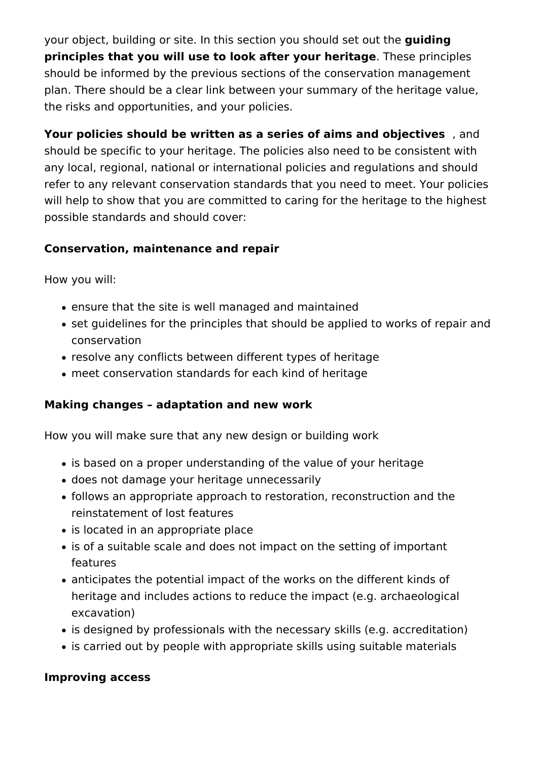your object, building or site. In this section you should set out the **guiding principles that you will use to look after your heritage**. These principles should be informed by the previous sections of the conservation management plan. There should be a clear link between your summary of the heritage value, the risks and opportunities, and your policies.

**Your policies should be written as a series of aims and objectives** , and should be specific to your heritage. The policies also need to be consistent with any local, regional, national or international policies and regulations and should refer to any relevant conservation standards that you need to meet. Your policies will help to show that you are committed to caring for the heritage to the highest possible standards and should cover:

#### **Conservation, maintenance and repair**

How you will:

- ensure that the site is well managed and maintained
- set quidelines for the principles that should be applied to works of repair and conservation
- resolve any conflicts between different types of heritage
- meet conservation standards for each kind of heritage

### **Making changes – adaptation and new work**

How you will make sure that any new design or building work

- is based on a proper understanding of the value of your heritage
- does not damage your heritage unnecessarily
- follows an appropriate approach to restoration, reconstruction and the reinstatement of lost features
- is located in an appropriate place
- is of a suitable scale and does not impact on the setting of important features
- anticipates the potential impact of the works on the different kinds of heritage and includes actions to reduce the impact (e.g. archaeological excavation)
- is designed by professionals with the necessary skills (e.g. accreditation)
- is carried out by people with appropriate skills using suitable materials

### **Improving access**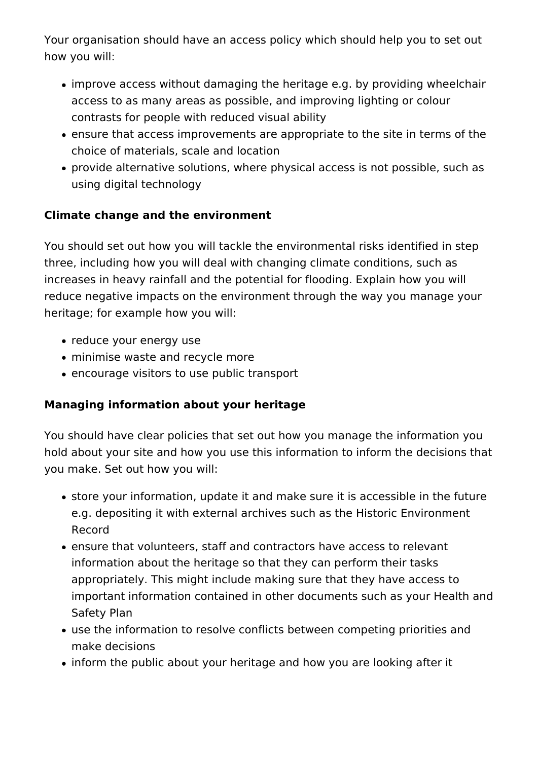Your organisation should have an access policy which should help you to set out how you will:

- improve access without damaging the heritage e.g. by providing wheelchair access to as many areas as possible, and improving lighting or colour contrasts for people with reduced visual ability
- ensure that access improvements are appropriate to the site in terms of the choice of materials, scale and location
- provide alternative solutions, where physical access is not possible, such as using digital technology

#### **Climate change and the environment**

You should set out how you will tackle the environmental risks identified in step three, including how you will deal with changing climate conditions, such as increases in heavy rainfall and the potential for flooding. Explain how you will reduce negative impacts on the environment through the way you manage your heritage; for example how you will:

- reduce your energy use
- minimise waste and recycle more
- encourage visitors to use public transport

### **Managing information about your heritage**

You should have clear policies that set out how you manage the information you hold about your site and how you use this information to inform the decisions that you make. Set out how you will:

- store your information, update it and make sure it is accessible in the future e.g. depositing it with external archives such as the Historic Environment Record
- ensure that volunteers, staff and contractors have access to relevant information about the heritage so that they can perform their tasks appropriately. This might include making sure that they have access to important information contained in other documents such as your Health and Safety Plan
- use the information to resolve conflicts between competing priorities and make decisions
- inform the public about your heritage and how you are looking after it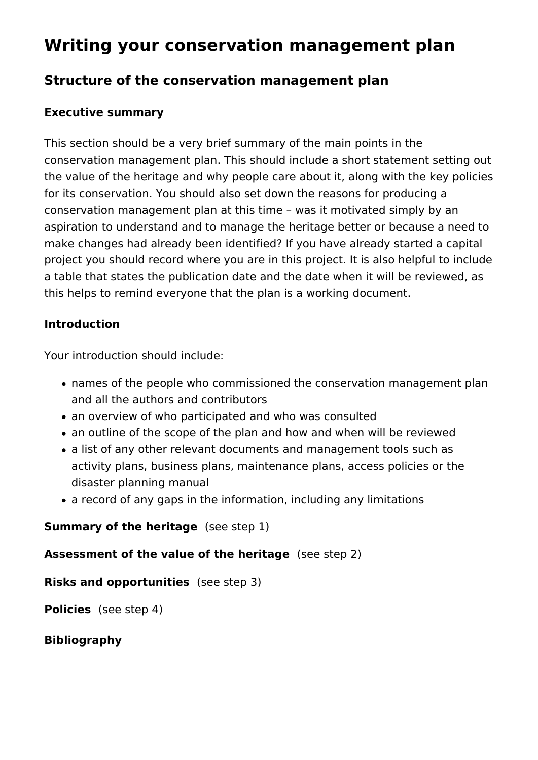## **Writing your conservation management plan**

### **Structure of the conservation management plan**

#### **Executive summary**

This section should be a very brief summary of the main points in the conservation management plan. This should include a short statement setting out the value of the heritage and why people care about it, along with the key policies for its conservation. You should also set down the reasons for producing a conservation management plan at this time – was it motivated simply by an aspiration to understand and to manage the heritage better or because a need to make changes had already been identified? If you have already started a capital project you should record where you are in this project. It is also helpful to include a table that states the publication date and the date when it will be reviewed, as this helps to remind everyone that the plan is a working document.

#### **Introduction**

Your introduction should include:

- names of the people who commissioned the conservation management plan and all the authors and contributors
- an overview of who participated and who was consulted
- an outline of the scope of the plan and how and when will be reviewed
- a list of any other relevant documents and management tools such as activity plans, business plans, maintenance plans, access policies or the disaster planning manual
- a record of any gaps in the information, including any limitations

#### **Summary of the heritage** (see step 1)

#### **Assessment of the value of the heritage** (see step 2)

**Risks and opportunities** (see step 3)

**Policies** (see step 4)

#### **Bibliography**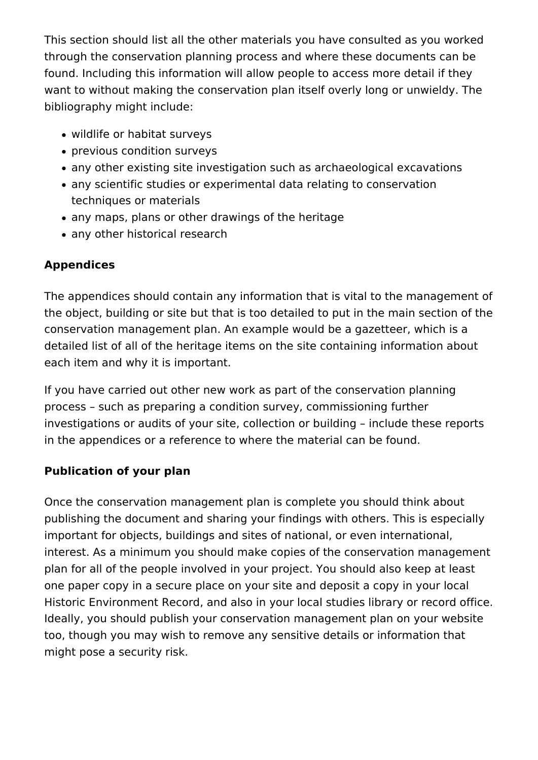This section should list all the other materials you have consulted as you worked through the conservation planning process and where these documents can be found. Including this information will allow people to access more detail if they want to without making the conservation plan itself overly long or unwieldy. The bibliography might include:

- wildlife or habitat surveys
- previous condition surveys
- any other existing site investigation such as archaeological excavations
- any scientific studies or experimental data relating to conservation techniques or materials
- any maps, plans or other drawings of the heritage
- any other historical research

## **Appendices**

The appendices should contain any information that is vital to the management of the object, building or site but that is too detailed to put in the main section of the conservation management plan. An example would be a gazetteer, which is a detailed list of all of the heritage items on the site containing information about each item and why it is important.

If you have carried out other new work as part of the conservation planning process – such as preparing a condition survey, commissioning further investigations or audits of your site, collection or building – include these reports in the appendices or a reference to where the material can be found.

## **Publication of your plan**

Once the conservation management plan is complete you should think about publishing the document and sharing your findings with others. This is especially important for objects, buildings and sites of national, or even international, interest. As a minimum you should make copies of the conservation management plan for all of the people involved in your project. You should also keep at least one paper copy in a secure place on your site and deposit a copy in your local Historic Environment Record, and also in your local studies library or record office. Ideally, you should publish your conservation management plan on your website too, though you may wish to remove any sensitive details or information that might pose a security risk.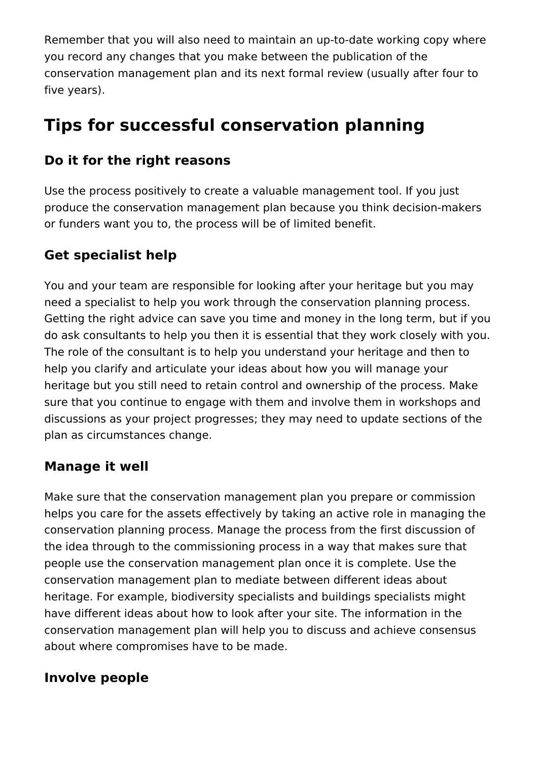Remember that you will also need to maintain an up-to-date working copy where you record any changes that you make between the publication of the conservation management plan and its next formal review (usually after four to five years).

## **Tips for successful conservation planning**

## **Do it for the right reasons**

Use the process positively to create a valuable management tool. If you just produce the conservation management plan because you think decision-makers or funders want you to, the process will be of limited benefit.

## **Get specialist help**

You and your team are responsible for looking after your heritage but you may need a specialist to help you work through the conservation planning process. Getting the right advice can save you time and money in the long term, but if you do ask consultants to help you then it is essential that they work closely with you. The role of the consultant is to help you understand your heritage and then to help you clarify and articulate your ideas about how you will manage your heritage but you still need to retain control and ownership of the process. Make sure that you continue to engage with them and involve them in workshops and discussions as your project progresses; they may need to update sections of the plan as circumstances change.

## **Manage it well**

Make sure that the conservation management plan you prepare or commission helps you care for the assets effectively by taking an active role in managing the conservation planning process. Manage the process from the first discussion of the idea through to the commissioning process in a way that makes sure that people use the conservation management plan once it is complete. Use the conservation management plan to mediate between different ideas about heritage. For example, biodiversity specialists and buildings specialists might have different ideas about how to look after your site. The information in the conservation management plan will help you to discuss and achieve consensus about where compromises have to be made.

## **Involve people**